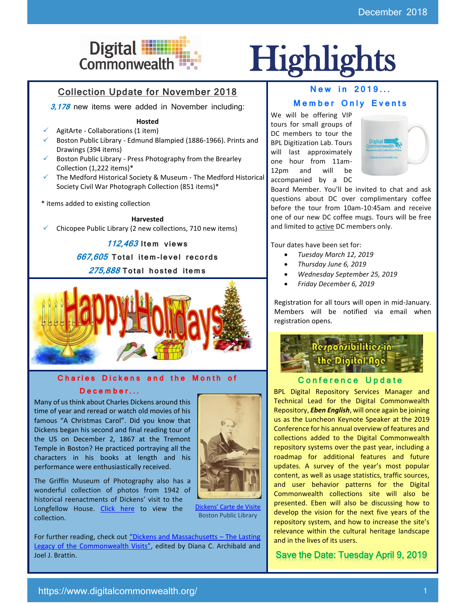

# Digital **Highlights**

# Collection Update for November 2018

**3,178** new items were added in November including:

#### **Hosted**

- AgitArte Collaborations (1 item)
- ✓ Boston Public Library Edmund Blampied (1886-1966). Prints and Drawings (394 items)
- $\checkmark$  Boston Public Library Press Photography from the Brearley Collection (1,222 items)\*
- ✓ The Medford Historical Society & Museum The Medford Historical Society Civil War Photograph Collection (851 items)\*
- \* items added to existing collection

**Harvested**

Chicopee Public Library (2 new collections, 710 new items)

**112,463 I tem** v**iews 667,605 To tal i tem-le vel re co rds** 

**275,888 To tal hos ted i tem s**



#### **Charles Dickens and the Month of**

### **D e c e m b e r . . .**

Many of us think about Charles Dickens around this time of year and reread or watch old movies of his famous "A Christmas Carol". Did you know that Dickens began his second and final reading tour of the US on December 2, 1867 at the Tremont Temple in Boston? He practiced portraying all the characters in his books at length and his performance were enthusiastically received.

The Griffin Museum of Photography also has a wonderful collection of photos from 1942 of historical reenactments of Dickens' visit to the Longfellow House. [Click here](https://www.digitalcommonwealth.org/search/commonwealth:k930f348j) to view the collection.



[Dickens' Carte de Visite](https://ark.digitalcommonwealth.org/ark:/50959/2514nz95p) Boston Public Library

For further reading, check out "Dickens and Massachusetts - The Lasting [Legacy of the Commonwealth Visits"](http://www.umass.edu/umpress/title/dickens-and-massachusetts), edited by Diana C. Archibald and Joel J. Brattin.

## **New in 2019...**

### **Member Only Events**

We will be offering VIP tours for small groups of DC members to tour the BPL Digitization Lab. Tours will last approximately one hour from 11am-12pm and will be accompanied by a DC



Board Member. You'll be invited to chat and ask questions about DC over complimentary coffee before the tour from 10am-10:45am and receive one of our new DC coffee mugs. Tours will be free and limited to **active** DC members only.

Tour dates have been set for:

- *Tuesday March 12, 2019*
- *Thursday June 6, 2019*
- *Wednesday September 25, 2019*
- *Friday December 6, 2019*

Registration for all tours will open in mid-January. Members will be notified via email when registration opens.



## **Conference Update**

BPL Digital Repository Services Manager and Technical Lead for the Digital Commonwealth Repository, *Eben English*, will once again be joining us as the Luncheon Keynote Speaker at the 2019 Conference for his annual overview of features and collections added to the Digital Commonwealth repository systems over the past year, including a roadmap for additional features and future updates. A survey of the year's most popular content, as well as usage statistics, traffic sources, and user behavior patterns for the Digital Commonwealth collections site will also be presented. Eben will also be discussing how to develop the vision for the next five years of the repository system, and how to increase the site's relevance within the cultural heritage landscape and in the lives of its users.

Save the Date: Tuesday April 9, 2019